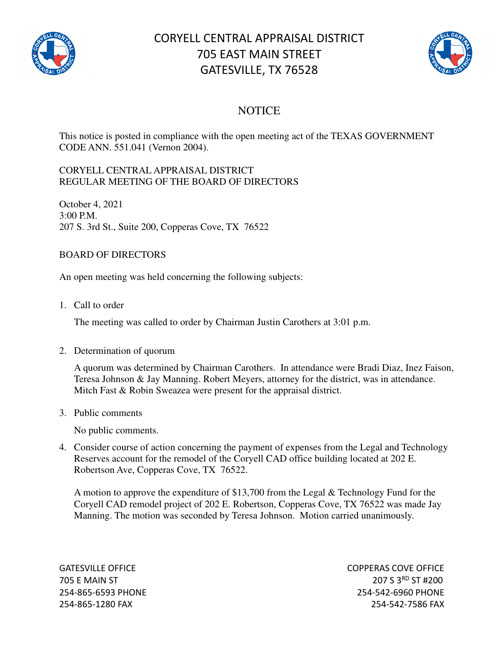

## CORYELL CENTRAL APPRAISAL DISTRICT 705 EAST MAIN STREET GATESVILLE, TX 76528



## **NOTICE**

This notice is posted in compliance with the open meeting act of the TEXAS GOVERNMENT CODE ANN. 551.041 (Vernon 2004).

## CORYELL CENTRAL APPRAISAL DISTRICT REGULAR MEETING OF THE BOARD OF DIRECTORS

October 4, 2021 3:00 P.M. 207 S. 3rd St., Suite 200, Copperas Cove, TX 76522

## BOARD OF DIRECTORS

An open meeting was held concerning the following subjects:

1. Call to order

The meeting was called to order by Chairman Justin Carothers at 3:01 p.m.

2. Determination of quorum

A quorum was determined by Chairman Carothers. In attendance were Bradi Diaz, Inez Faison, Teresa Johnson & Jay Manning. Robert Meyers, attorney for the district, was in attendance. Mitch Fast & Robin Sweazea were present for the appraisal district.

3. Public comments

No public comments.

4. Consider course of action concerning the payment of expenses from the Legal and Technology Reserves account for the remodel of the Coryell CAD office building located at 202 E. Robertson Ave, Copperas Cove, TX 76522.

A motion to approve the expenditure of \$13,700 from the Legal & Technology Fund for the Coryell CAD remodel project of 202 E. Robertson, Copperas Cove, TX 76522 was made Jay Manning. The motion was seconded by Teresa Johnson. Motion carried unanimously.

GATESVILLE OFFICE **COPPERAS COVE OF EXAMPLE 2** 705 E MAIN ST 207 S 3RD ST #200 254-865-6593 PHONE 254-542-6960 PHONE 254-865-1280 FAX 254-542-7586 FAX